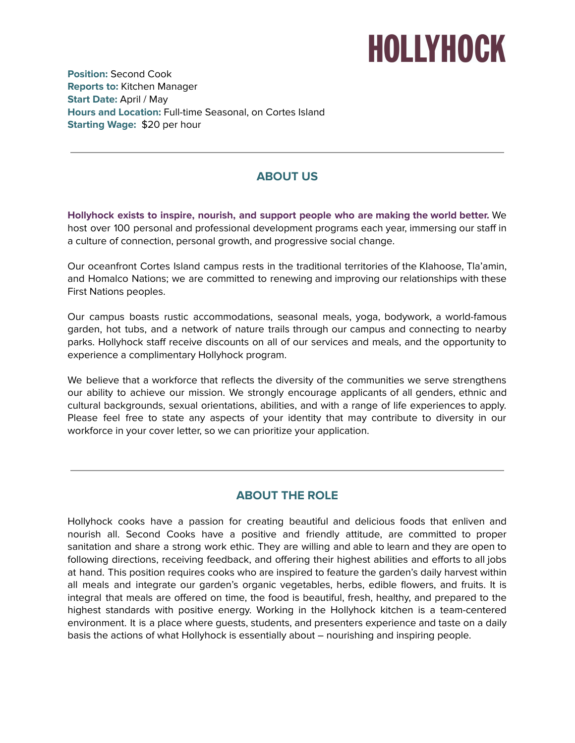## **HOLLYHOCK**

**Position:** Second Cook **Reports to:** Kitchen Manager **Start Date:** April / May **Hours and Location:** Full-time Seasonal, on Cortes Island **Starting Wage:** \$20 per hour

### **ABOUT US**

**Hollyhock exists to inspire, nourish, and support people who are making the world better.** We host over 100 personal and professional development programs each year, immersing our staff in a culture of connection, personal growth, and progressive social change.

Our oceanfront Cortes Island campus rests in the traditional territories of the KIahoose, Tla'amin, and Homalco Nations; we are committed to renewing and improving our relationships with these First Nations peoples.

Our campus boasts rustic accommodations, seasonal meals, yoga, bodywork, a world-famous garden, hot tubs, and a network of nature trails through our campus and connecting to nearby parks. Hollyhock staff receive discounts on all of our services and meals, and the opportunity to experience a complimentary Hollyhock program.

We believe that a workforce that reflects the diversity of the communities we serve strengthens our ability to achieve our mission. We strongly encourage applicants of all genders, ethnic and cultural backgrounds, sexual orientations, abilities, and with a range of life experiences to apply. Please feel free to state any aspects of your identity that may contribute to diversity in our workforce in your cover letter, so we can prioritize your application.

#### **ABOUT THE ROLE**

Hollyhock cooks have a passion for creating beautiful and delicious foods that enliven and nourish all. Second Cooks have a positive and friendly attitude, are committed to proper sanitation and share a strong work ethic. They are willing and able to learn and they are open to following directions, receiving feedback, and offering their highest abilities and efforts to all jobs at hand. This position requires cooks who are inspired to feature the garden's daily harvest within all meals and integrate our garden's organic vegetables, herbs, edible flowers, and fruits. It is integral that meals are offered on time, the food is beautiful, fresh, healthy, and prepared to the highest standards with positive energy. Working in the Hollyhock kitchen is a team-centered environment. It is a place where guests, students, and presenters experience and taste on a daily basis the actions of what Hollyhock is essentially about – nourishing and inspiring people.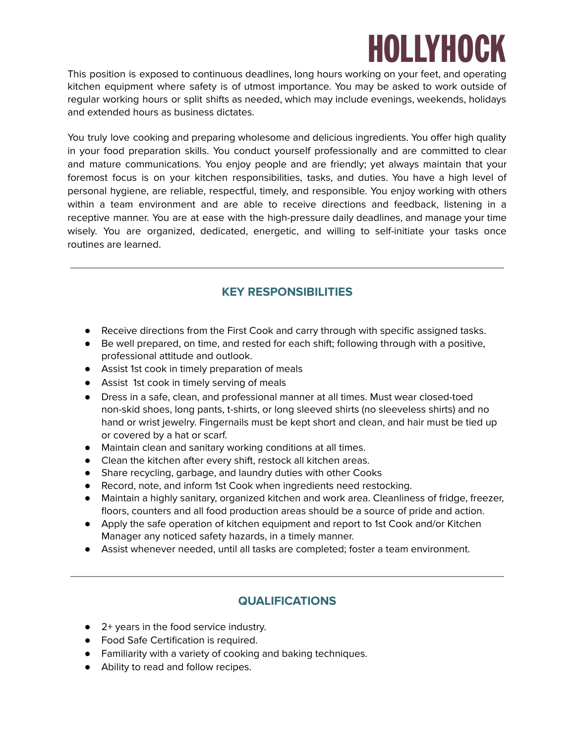# **HOLLYHOCK**

This position is exposed to continuous deadlines, long hours working on your feet, and operating kitchen equipment where safety is of utmost importance. You may be asked to work outside of regular working hours or split shifts as needed, which may include evenings, weekends, holidays and extended hours as business dictates.

You truly love cooking and preparing wholesome and delicious ingredients. You offer high quality in your food preparation skills. You conduct yourself professionally and are committed to clear and mature communications. You enjoy people and are friendly; yet always maintain that your foremost focus is on your kitchen responsibilities, tasks, and duties. You have a high level of personal hygiene, are reliable, respectful, timely, and responsible. You enjoy working with others within a team environment and are able to receive directions and feedback, listening in a receptive manner. You are at ease with the high-pressure daily deadlines, and manage your time wisely. You are organized, dedicated, energetic, and willing to self-initiate your tasks once routines are learned.

#### **KEY RESPONSIBILITIES**

- Receive directions from the First Cook and carry through with specific assigned tasks.
- Be well prepared, on time, and rested for each shift; following through with a positive, professional attitude and outlook.
- Assist 1st cook in timely preparation of meals
- Assist 1st cook in timely serving of meals
- Dress in a safe, clean, and professional manner at all times. Must wear closed-toed non-skid shoes, long pants, t-shirts, or long sleeved shirts (no sleeveless shirts) and no hand or wrist jewelry. Fingernails must be kept short and clean, and hair must be tied up or covered by a hat or scarf.
- Maintain clean and sanitary working conditions at all times.
- Clean the kitchen after every shift, restock all kitchen areas.
- Share recycling, garbage, and laundry duties with other Cooks
- Record, note, and inform 1st Cook when ingredients need restocking.
- Maintain a highly sanitary, organized kitchen and work area. Cleanliness of fridge, freezer, floors, counters and all food production areas should be a source of pride and action.
- Apply the safe operation of kitchen equipment and report to 1st Cook and/or Kitchen Manager any noticed safety hazards, in a timely manner.
- Assist whenever needed, until all tasks are completed; foster a team environment.

#### **QUALIFICATIONS**

- 2+ years in the food service industry.
- Food Safe Certification is required.
- Familiarity with a variety of cooking and baking techniques.
- Ability to read and follow recipes.